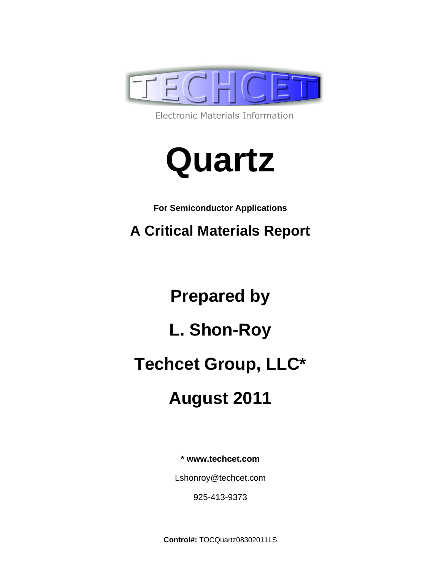

Electronic Materials Information



**For Semiconductor Applications** 

**A Critical Materials Report** 

**Prepared by L. Shon-Roy Techcet Group, LLC\* August 2011** 

**\* www.techcet.com** 

Lshonroy@techcet.com

925-413-9373

**Control#:** TOCQuartz08302011LS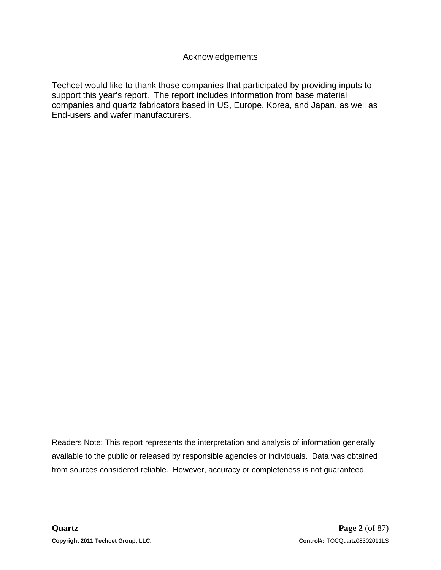Techcet would like to thank those companies that participated by providing inputs to support this year's report. The report includes information from base material companies and quartz fabricators based in US, Europe, Korea, and Japan, as well as End-users and wafer manufacturers.

Readers Note: This report represents the interpretation and analysis of information generally available to the public or released by responsible agencies or individuals. Data was obtained from sources considered reliable. However, accuracy or completeness is not guaranteed.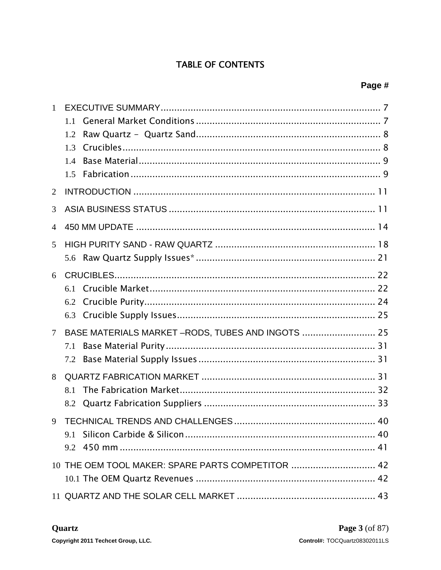## **TABLE OF CONTENTS**

| $\mathbf{1}$   |                                                    |  |
|----------------|----------------------------------------------------|--|
|                | 1.1                                                |  |
|                | 1.2                                                |  |
|                | 1.3                                                |  |
|                | 1.4                                                |  |
|                | 1.5                                                |  |
| 2              |                                                    |  |
| 3              |                                                    |  |
| $\overline{4}$ |                                                    |  |
| 5              |                                                    |  |
|                |                                                    |  |
| 6              |                                                    |  |
|                | 6.1                                                |  |
|                | 6.2                                                |  |
|                | 6.3                                                |  |
| $\tau$         | BASE MATERIALS MARKET - RODS, TUBES AND INGOTS  25 |  |
|                | 7.1                                                |  |
|                | 7.2                                                |  |
| 8              |                                                    |  |
|                | 8.1                                                |  |
|                | 8.2                                                |  |
| 9              |                                                    |  |
|                | 9.1                                                |  |
|                |                                                    |  |
|                | 10 THE OEM TOOL MAKER: SPARE PARTS COMPETITOR  42  |  |
|                |                                                    |  |
|                |                                                    |  |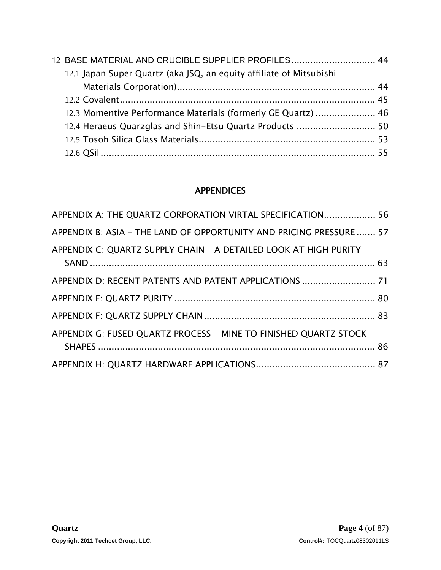| 12 BASE MATERIAL AND CRUCIBLE SUPPLIER PROFILES 44                  |  |
|---------------------------------------------------------------------|--|
| 12.1 Japan Super Quartz (aka JSQ, an equity affiliate of Mitsubishi |  |
|                                                                     |  |
|                                                                     |  |
| 12.3 Momentive Performance Materials (formerly GE Quartz)  46       |  |
|                                                                     |  |
|                                                                     |  |
|                                                                     |  |

## APPENDICES

| APPENDIX A: THE QUARTZ CORPORATION VIRTAL SPECIFICATION 56          |  |
|---------------------------------------------------------------------|--|
| APPENDIX B: ASIA - THE LAND OF OPPORTUNITY AND PRICING PRESSURE  57 |  |
| APPENDIX C: QUARTZ SUPPLY CHAIN - A DETAILED LOOK AT HIGH PURITY    |  |
| APPENDIX D: RECENT PATENTS AND PATENT APPLICATIONS  71              |  |
|                                                                     |  |
|                                                                     |  |
| APPENDIX G: FUSED QUARTZ PROCESS - MINE TO FINISHED QUARTZ STOCK    |  |
|                                                                     |  |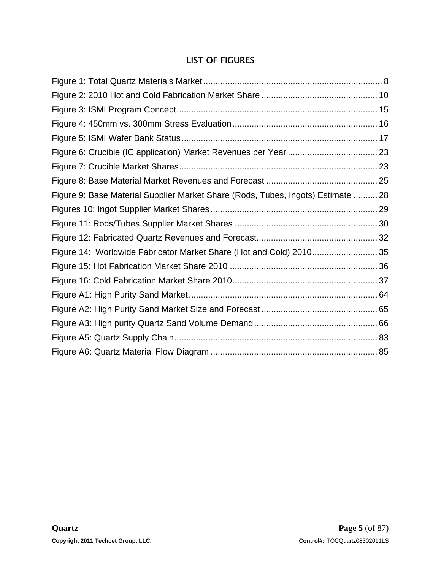## LIST OF FIGURES

| Figure 9: Base Material Supplier Market Share (Rods, Tubes, Ingots) Estimate  28 |  |
|----------------------------------------------------------------------------------|--|
|                                                                                  |  |
|                                                                                  |  |
|                                                                                  |  |
| Figure 14: Worldwide Fabricator Market Share (Hot and Cold) 2010 35              |  |
|                                                                                  |  |
|                                                                                  |  |
|                                                                                  |  |
|                                                                                  |  |
|                                                                                  |  |
|                                                                                  |  |
|                                                                                  |  |